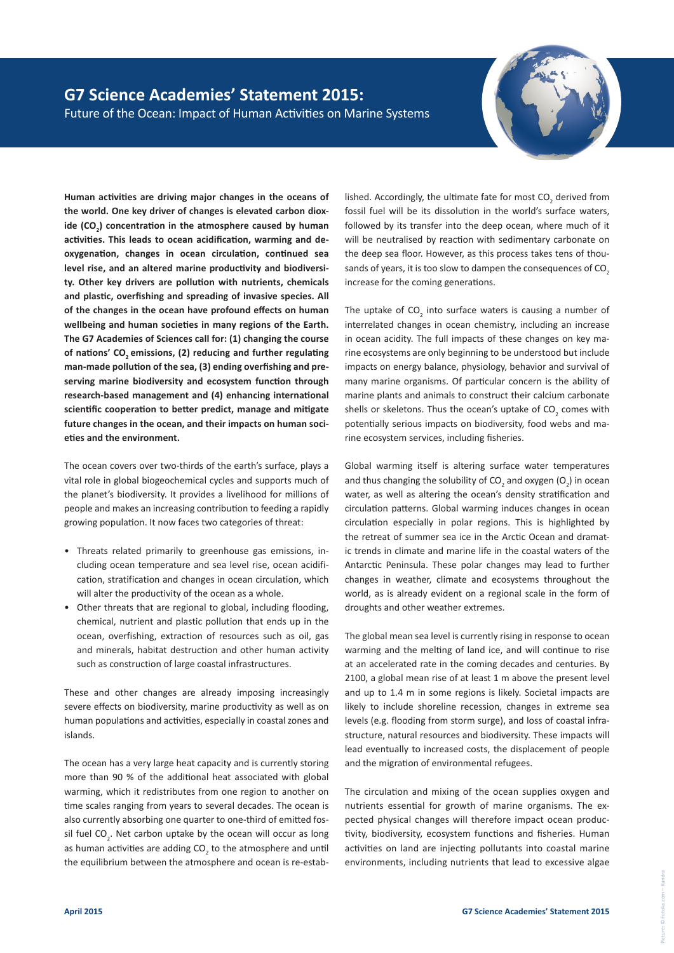## **G7 Science Academies' Statement 2015:** Future of the Ocean: Impact of Human Activities on Marine Systems



**Human activities are driving major changes in the oceans of the world. One key driver of changes is elevated carbon dioxide (CO<sup>2</sup> ) concentration in the atmosphere caused by human activities. This leads to ocean acidification, warming and deoxygenation, changes in ocean circulation, continued sea level rise, and an altered marine productivity and biodiversity. Other key drivers are pollution with nutrients, chemicals and plastic, overfishing and spreading of invasive species. All of the changes in the ocean have profound effects on human wellbeing and human societies in many regions of the Earth. The G7 Academies of Sciences call for: (1) changing the course**  of nations' CO<sub>2</sub> emissions, (2) reducing and further regulating **man-made pollution of the sea, (3) ending overfishing and preserving marine biodiversity and ecosystem function through research-based management and (4) enhancing international scientific cooperation to better predict, manage and mitigate future changes in the ocean, and their impacts on human societies and the environment.**

The ocean covers over two-thirds of the earth's surface, plays a vital role in global biogeochemical cycles and supports much of the planet's biodiversity. It provides a livelihood for millions of people and makes an increasing contribution to feeding a rapidly growing population. It now faces two categories of threat:

- Threats related primarily to greenhouse gas emissions, including ocean temperature and sea level rise, ocean acidification, stratification and changes in ocean circulation, which will alter the productivity of the ocean as a whole.
- Other threats that are regional to global, including flooding, chemical, nutrient and plastic pollution that ends up in the ocean, overfishing, extraction of resources such as oil, gas and minerals, habitat destruction and other human activity such as construction of large coastal infrastructures.

These and other changes are already imposing increasingly severe effects on biodiversity, marine productivity as well as on human populations and activities, especially in coastal zones and islands.

The ocean has a very large heat capacity and is currently storing more than 90 % of the additional heat associated with global warming, which it redistributes from one region to another on time scales ranging from years to several decades. The ocean is also currently absorbing one quarter to one-third of emitted fossil fuel CO<sub>2</sub>. Net carbon uptake by the ocean will occur as long as human activities are adding CO<sub>2</sub> to the atmosphere and until the equilibrium between the atmosphere and ocean is re-estab-

lished. Accordingly, the ultimate fate for most  $CO_2$  derived from fossil fuel will be its dissolution in the world's surface waters, followed by its transfer into the deep ocean, where much of it will be neutralised by reaction with sedimentary carbonate on the deep sea floor. However, as this process takes tens of thousands of years, it is too slow to dampen the consequences of CO<sub>2</sub> increase for the coming generations.

The uptake of  $CO<sub>2</sub>$  into surface waters is causing a number of interrelated changes in ocean chemistry, including an increase in ocean acidity. The full impacts of these changes on key marine ecosystems are only beginning to be understood but include impacts on energy balance, physiology, behavior and survival of many marine organisms. Of particular concern is the ability of marine plants and animals to construct their calcium carbonate shells or skeletons. Thus the ocean's uptake of  $CO_2$  comes with potentially serious impacts on biodiversity, food webs and marine ecosystem services, including fisheries.

Global warming itself is altering surface water temperatures and thus changing the solubility of  $CO_2$  and oxygen  $(O_2)$  in ocean water, as well as altering the ocean's density stratification and circulation patterns. Global warming induces changes in ocean circulation especially in polar regions. This is highlighted by the retreat of summer sea ice in the Arctic Ocean and dramatic trends in climate and marine life in the coastal waters of the Antarctic Peninsula. These polar changes may lead to further changes in weather, climate and ecosystems throughout the world, as is already evident on a regional scale in the form of droughts and other weather extremes.

The global mean sea level is currently rising in response to ocean warming and the melting of land ice, and will continue to rise at an accelerated rate in the coming decades and centuries. By 2100, a global mean rise of at least 1 m above the present level and up to 1.4 m in some regions is likely. Societal impacts are likely to include shoreline recession, changes in extreme sea levels (e.g. flooding from storm surge), and loss of coastal infrastructure, natural resources and biodiversity. These impacts will lead eventually to increased costs, the displacement of people and the migration of environmental refugees.

The circulation and mixing of the ocean supplies oxygen and nutrients essential for growth of marine organisms. The expected physical changes will therefore impact ocean productivity, biodiversity, ecosystem functions and fisheries. Human activities on land are injecting pollutants into coastal marine environments, including nutrients that lead to excessive algae